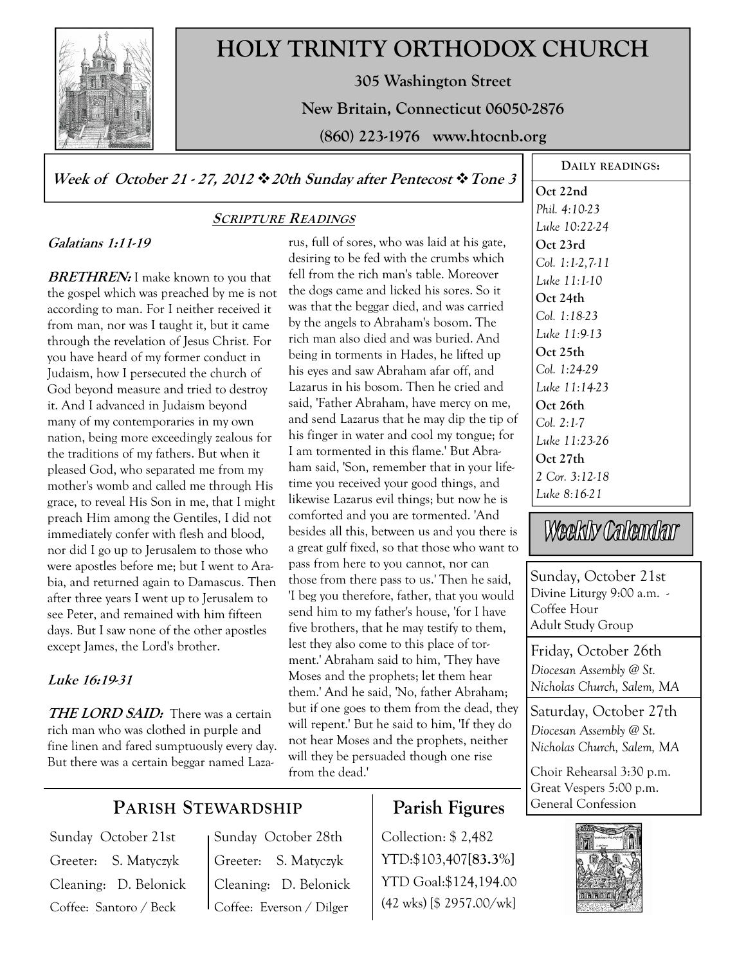

# **HOLY TRINITY ORTHODOX CHURCH**

**305 Washington Street** 

**New Britain, Connecticut 06050-2876** 

**(860) 223-1976 www.htocnb.org** 

**Week of October 21 - 27, 2012 20th Sunday after Pentecost Tone 3** 

# **Galatians 1:11-19**

**BRETHREN:** I make known to you that the gospel which was preached by me is not according to man. For I neither received it from man, nor was I taught it, but it came through the revelation of Jesus Christ. For you have heard of my former conduct in Judaism, how I persecuted the church of God beyond measure and tried to destroy it. And I advanced in Judaism beyond many of my contemporaries in my own nation, being more exceedingly zealous for the traditions of my fathers. But when it pleased God, who separated me from my mother's womb and called me through His grace, to reveal His Son in me, that I might preach Him among the Gentiles, I did not immediately confer with flesh and blood, nor did I go up to Jerusalem to those who were apostles before me; but I went to Arabia, and returned again to Damascus. Then after three years I went up to Jerusalem to see Peter, and remained with him fifteen days. But I saw none of the other apostles except James, the Lord's brother.

# **Luke 16:19-31**

**THE LORD SAID:** There was a certain rich man who was clothed in purple and fine linen and fared sumptuously every day. But there was a certain beggar named Laza-

# **SCRIPTURE READINGS**

rus, full of sores, who was laid at his gate, desiring to be fed with the crumbs which fell from the rich man's table. Moreover the dogs came and licked his sores. So it was that the beggar died, and was carried by the angels to Abraham's bosom. The rich man also died and was buried. And being in torments in Hades, he lifted up his eyes and saw Abraham afar off, and Lazarus in his bosom. Then he cried and said, 'Father Abraham, have mercy on me, and send Lazarus that he may dip the tip of his finger in water and cool my tongue; for I am tormented in this flame.' But Abraham said, 'Son, remember that in your lifetime you received your good things, and likewise Lazarus evil things; but now he is comforted and you are tormented. 'And besides all this, between us and you there is a great gulf fixed, so that those who want to pass from here to you cannot, nor can those from there pass to us.' Then he said, 'I beg you therefore, father, that you would send him to my father's house, 'for I have five brothers, that he may testify to them, lest they also come to this place of torment.' Abraham said to him, 'They have Moses and the prophets; let them hear them.' And he said, 'No, father Abraham; but if one goes to them from the dead, they will repent.' But he said to him, 'If they do not hear Moses and the prophets, neither will they be persuaded though one rise from the dead.'

# **Parish Figures**

Collection: \$ 2,482 YTD:\$103,407**[83.3%]** YTD Goal:\$124,194.00 (42 wks) [\$ 2957.00/wk]

**DAILY READINGS: Oct 22nd**  *Phil. 4:10-23 Luke 10:22-24*  **Oct 23rd**  *Col. 1:1-2,7-11 Luke 11:1-10*  **Oct 24th**  *Col. 1:18-23 Luke 11:9-13*  **Oct 25th**  *Col. 1:24-29 Luke 11:14-23*  **Oct 26th**  *Col. 2:1-7 Luke 11:23-26*  **Oct 27th**  *2 Cor. 3:12-18 Luke 8:16-21* 

Weekly Calendar

Sunday, October 21st Divine Liturgy 9:00 a.m. -Coffee Hour Adult Study Group

Friday, October 26th *Diocesan Assembly @ St. Nicholas Church, Salem, MA* 

Saturday, October 27th *Diocesan Assembly @ St. Nicholas Church, Salem, MA* 

Choir Rehearsal 3:30 p.m. Great Vespers 5:00 p.m. General Confession



# **PARISH STEWARDSHIP**

Sunday October 21st Greeter: S. Matyczyk Cleaning: D. Belonick Coffee: Santoro / Beck

Sunday October 28th Greeter: S. Matyczyk Cleaning: D. Belonick Coffee: Everson / Dilger